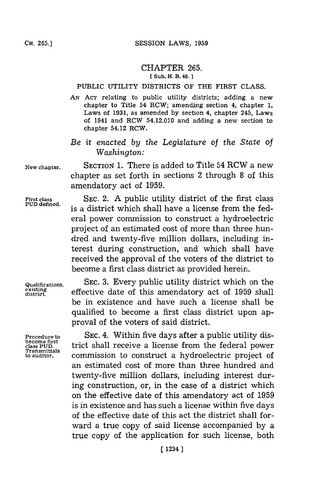## CHAPTER **265. [ Sub. H. B. 48. ]**

## PUBLIC UTILITY DISTRICTS OF THE FIRST **CLASS.**

*AN* **ACT** relating to public utility districts; adding a new chapter to Title 54 RCW; amending section 4, chapter **1,** Laws of **1931,** as amended **by** section 4, chapter 245, Laws of 1941 and RCW 54.12.010 and adding a new section to chapter 54.12 RCW.

## *Be it enacted by the Legislature of the State of Washington:*

**New chapter. SECTION 1.** There is added to Title 54 RCW a new chapter as set forth in sections 2 through **8** of this amendatory act of **1959.**

First class SEC. 2. A public utility district of the first class PUD defined. is a district which shall have a license from the federal power commission to construct a hydroelectric project of an estimated cost of more than three hundred and twenty-five million dollars, including interest during construction, and which shall have received the approval of the voters of the district to become a first class district as provided herein.

**become first<br>class PUD.<br>Transmittals<br>to auditor.** 

**Qualifications, SEC. 3.** Every public utility district which on the existing effective date of this amendatory act of 1959 shall be in existence and have such a license shall be qualified to become a first class district upon approval of the voters of said district.

**Procedure to SEC.** 4. Within five days after a public utility district shall receive a license from the federal power commission to construct a hydroelectric project of an estimated cost of more than three hundred and twenty-five million dollars, including interest during construction, or, in the case of a district which on the effective date of this amendatory act of **1959** is in existence and has such a license within five days of the effective date of this act the district shall forward a true copy of said license accompanied **by** a true copy of the application for such license, both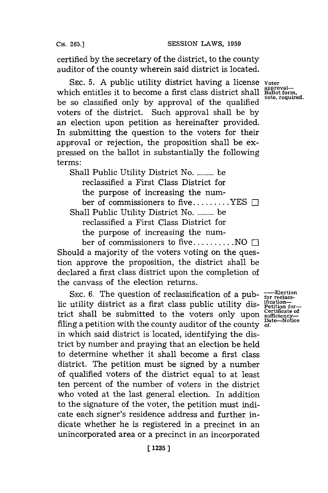**CH. 265.]**

certified **by** the secretary of the district, to the county auditor of the county wherein said district is located.

**SEC. 5. A** public utility district having a license **voter** which entitles it to become a first class district shall Ballot form, be so classified only by approval of the qualified voters of the district. Such approval shall be **by** an election upon petition as hereinafter provided. In submitting the question to the voters for their approval or rejection, the proposition shall be expressed on the ballot in substantially the following terms:

Shall Public Utility District No. ............ be reclassified a First Class District for the purpose of increasing the number of commissioners to five **......... YES** III Shall Public Utility District No. ............. be reclassified a First Class District for the purpose of increasing the num-

ber of commissioners to five **.......... NO** L-I Should a majority of the voters voting on the question approve the proposition, the district shall be declared a first class district upon the completion of the canvass of the election returns.

SEC. 6. The question of reclassification of a pub-<br>utility district as a first class public utility dis-<br>perition for-<br>t shall be submitted to the voters only upon  $\frac{\text{certicate of}}{\text{surface}}$ <br>and a netition with the county auditor o lic utility district as a first class public utility district shall be submitted to the voters only upon filing a petition with the county auditor of the county  $\frac{da}{dt}$ . in which said district is located, identifying the district **by** number and praying that an election be held to determine whether it shall become a first class district. The petition must be signed **by** a number of qualified voters of the district equal to at least ten percent of the number of voters in the district who voted at the last general election. In addition to the signature of the voter, the petition must indicate each signer's residence address and further indicate whether he is registered in a precinct in an unincorporated area or a precinct in an incorporated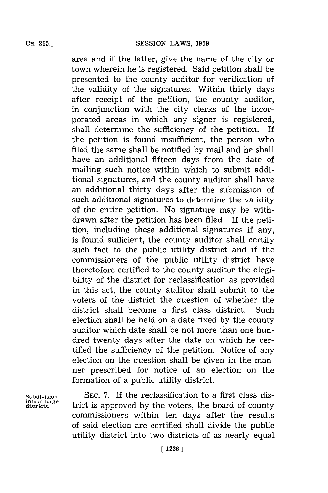**CH. 265.]**

area and if the latter, give the name of the city or town wherein he is registered. Said petition shall be presented to the county auditor for verification of the validity of the signatures. Within thirty days after receipt of the petition, the county auditor, in conjunction with the city clerks of the incorporated areas in which any signer is registered, shall determine the sufficiency of the petition. If the petition is found insufficient, the person who filed the same shall be notified **by** mail and he shall have an additional fifteen days from the date of mailing such notice within which to submit additional signatures, and the county auditor shall have an additional thirty days after the submission of such additional signatures to determine the validity of the entire petition. No signature may be withdrawn after the petition has been filed. If the petition, including these additional signatures if any, is found sufficient, the county auditor shall certify such fact to the public utility district and if the commissioners of the public utility district have theretofore certified to the county auditor the elegibility of the district for reclassification as provided in this act, the county auditor shall submit to the voters of the district the question of whether the district shall become a first class district. Such election shall be held on a date fixed **by** the county auditor which date shall be not more than one hundred twenty days after the date on which he certified the sufficiency of the petition. Notice of any election on the question shall be given in the manner prescribed for notice of an election on the formation of a public utility district.

**into at large**

**Subdivision SEC. 7.** If the reclassification to a first class district is approved by the voters, the board of county commissioners within ten days after the results of said election are certified shall divide the public utility district into two districts of as nearly equal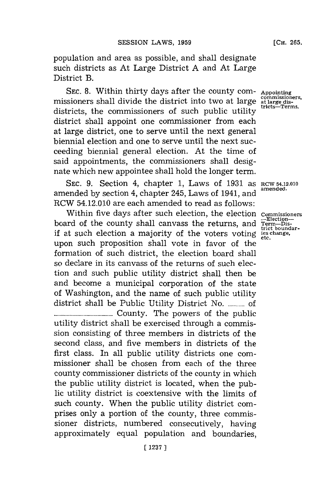population and area as possible, and shall designate such districts as At Large District **A** and At Large District B.

SEC. 8. Within thirty days after the county com- Appointing commissioners. missioners shall divide the district into two at large atlarge atlarge at the stratedistricts, the commissioners of such public utility district shall appoint one commissioner from each at large district, one to serve until the next general biennial election and one to serve until the next succeeding biennial general election. At the time of said appointments, the commissioners shall designate which new appointee shall hold the longer term.

SEC. **9.** Section 4, chapter **1,** Laws of **1931** as **RCW 54.12.010** amended **by** section 4, chapter 245, Laws of 1941, and **amended.** RCW 54.12.010 are each amended to read as follows:

Within five days after such election, the election **Commissioners** board of the county shall canvass the returns, and **Term-District** boundarif at such election a majority of the voters voting *ies change*. upon such proposition shall vote in favor of the formation of such district, the election board shall so declare in its canvass of the returns of such election and such public utility district shall then be and become a municipal corporation of the state of Washington, and the name of such public utility district shall be Public Utility District **No.........** of **...................... County.** The powers of the public utility district shall be exercised through a commission consisting of three members in districts of the second class, and five members in districts of the first class. In all public utility districts one commissioner shall be chosen from each of the three county commissioner districts of the county in which the public utility district is located, when the public utility district is coextensive with the limits of such county. When the public utility district comprises only a portion of the county, three commissioner districts, numbered consecutively, having approximately equal population and boundaries,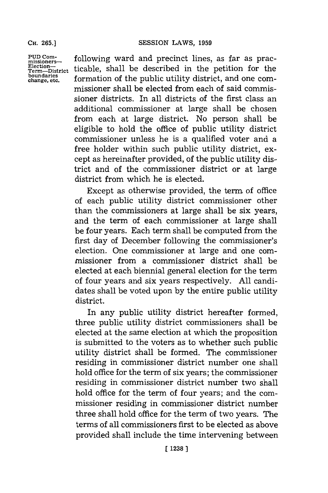**CH. 265.]**

**PUD Com-missioners-Election-Term-District boun daries change, etc.**

following ward and precinct lines, as far as practicable, shall be described in the petition for the formation of the public utility district, and one commissioner shall be elected from each of said commissioner districts. In all districts of the first class an additional commissioner at large shall be chosen from each at large district. No person shall be eligible to hold the office of public utility district commissioner unless he is a qualified voter and a free holder within such public utility district, except as hereinafter provided, of the public utility district and of the commissioner district or at large district from which he is elected.

Except as otherwise provided, the term of office of each public utility district commissioner other than the commissioners at large shall be six years, and the term of each commissioner at large shall be four years. Each term shall be computed from the first day of December following the commissioner's election. One commissioner at large and one commissioner from a commissioner district shall be elected at each biennial general election for the term of four years and six years respectively. **All** candidates shall be voted upon **by** the entire public utility district.

In any public utility district hereafter formed, three public utility district commissioners shall be elected at the same election at which the proposition is submitted to the voters as to whether such public utility district shall be formed. The commissioner residing in commissioner district number one shall hold office for the term of six years; the commissioner residing in commissioner district number two shall hold office for the term of four years; and the commissioner residing in commissioner district number three shall hold office for the term of two years. The terms of all commissioners first to be elected as above provided shall include the time intervening between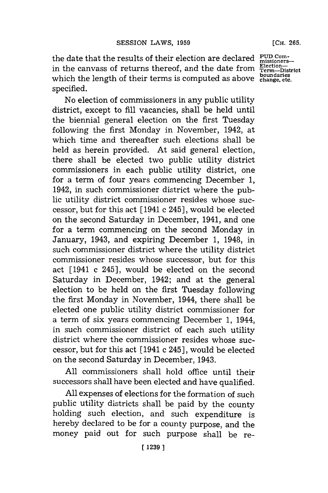the date that the results of their election are declared **PUD Com-Election-** in the canvass of returns thereof, and the date from **Term-District boundaries** which the length of their terms is computed as above **change, etc.** specified.

No election of commissioners in any public utility district, except to **fill** vacancies, shall be held until the biennial general election on the first Tuesday following the first Monday in November, 1942, at which time and thereafter such elections shall be held as herein provided. At said general election, there shall be elected two public utility district commissioners in each public utility district, one for a term of four years commencing December **1,** 1942, in such commissioner district where the public utility district commissioner resides whose successor, but for this act **[** 1941 c 245 **],** would be elected on the second Saturday in December, 1941, and one for a term commencing on the second Monday in January, 1943, and expiring December **1,** 1948, in such commissioner district where the utility district commissioner resides whose successor, but for this act [1941 c 245], would be elected on the second Saturday in December, 1942; and at the general election to be held on the first Tuesday following the first Monday in November, 1944, there shall be elected one public utility district commissioner for a term of six years commencing December **1,** 1944, in such commissioner district of each such utility district where the commissioner resides whose successor, but for this act **[** 1941 c 245 **],** would be elected on the second Saturday in December, 1943.

**All** commissioners shall hold office until their successors shall have been elected and have qualified.

**All** expenses of elections for the formation of such public utility districts shall be paid **by** the county holding such election, and such expenditure is hereby declared to be for a county purpose, and the money paid out for such purpose shall be re-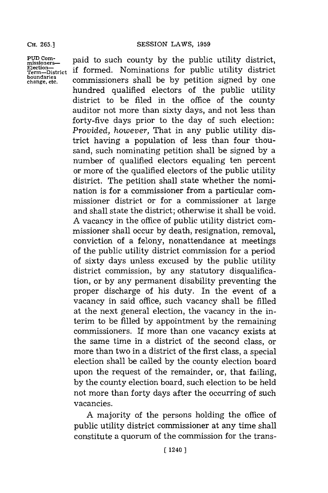misioer--paid to such county **by** the public utility district, **Term-District** if formed. Nominations for public utility district Term—District **II** TOTHEQ: **MOMITIALIONS** FOR PODITY GISHA<br>**boundaries** commissioners shall be by petition signed by on hundred qualified electors of the public utility district to be filed in the office of the county auditor not more than sixty days, and not less than forty-five days prior to the day of such election: *Provided, however,* That in any public utility district having a population of less than four thousand, such nominating petition shall be signed **by** a number of qualified electors equaling ten percent or more of the qualified electors of the public utility district. The petition shall state whether the nomination is for a commissioner from a particular commissioner district or for a commissioner at large and shall state the district; otherwise it shall be void. **A** vacancy in the office of public utility district commissioner shall occur **by** death, resignation, removal, conviction of a felony, nonattendance at meetings of the public utility district commission for a period of sixty days unless excused **by** the public utility district commission, **by** any statutory disqualification, or **by** any permanent disability preventing the proper discharge of his duty. In the event of a vacancy in said office, such vacancy shall be filled at the next general election, the vacancy in the interim to be filled **by** appointment **by** the remaining commissioners. If more than one vacancy exists at the same time in a district of the second class, or more than two in a district of the first class, a special election shall be called **by** the county election board upon the request of the remainder, or, that failing, **by** the county election board, such election to be held not more than forty days after the occurring of such vacancies.

> **A** majority of the persons holding the office of public utility district commissioner at any time shall constitute a quorum of the commission for the trans